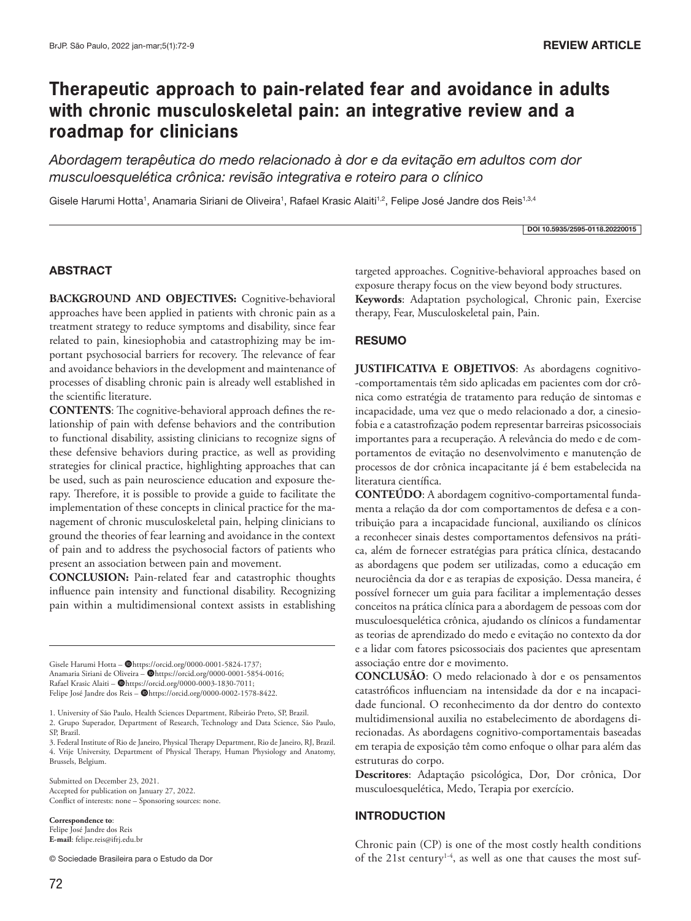# **Therapeutic approach to pain-related fear and avoidance in adults with chronic musculoskeletal pain: an integrative review and a roadmap for clinicians**

*Abordagem terapêutica do medo relacionado à dor e da evitação em adultos com dor musculoesquelética crônica: revisão integrativa e roteiro para o clínico*

Gisele Harumi Hotta<sup>1</sup>, Anamaria Siriani de Oliveira<sup>1</sup>, Rafael Krasic Alaiti<sup>1,2</sup>, Felipe José Jandre dos Reis<sup>1,3,4</sup>

DOI 10.5935/2595-0118.20220015

### ABSTRACT

BACKGROUND AND OBJECTIVES: Cognitive-behavioral approaches have been applied in patients with chronic pain as a treatment strategy to reduce symptoms and disability, since fear related to pain, kinesiophobia and catastrophizing may be important psychosocial barriers for recovery. The relevance of fear and avoidance behaviors in the development and maintenance of processes of disabling chronic pain is already well established in the scientific literature.

**CONTENTS**: The cognitive-behavioral approach defines the relationship of pain with defense behaviors and the contribution to functional disability, assisting clinicians to recognize signs of these defensive behaviors during practice, as well as providing strategies for clinical practice, highlighting approaches that can be used, such as pain neuroscience education and exposure therapy. Therefore, it is possible to provide a guide to facilitate the implementation of these concepts in clinical practice for the management of chronic musculoskeletal pain, helping clinicians to ground the theories of fear learning and avoidance in the context of pain and to address the psychosocial factors of patients who present an association between pain and movement.

**CONCLUSION:** Pain-related fear and catastrophic thoughts influence pain intensity and functional disability. Recognizing pain within a multidimensional context assists in establishing

Gisele Harumi Hotta - @https://orcid.org/0000-0001-5824-1737; Anamaria Siriani de Oliveira - @https://orcid.org/0000-0001-5854-0016; Rafael Krasic Alaiti –  $\blacksquare$ https://orcid.org/0000-0003-1830-7011; Felipe José Jandre dos Reis - @https://orcid.org/0000-0002-1578-8422.

1. University of São Paulo, Health Sciences Department, Ribeirão Preto, SP, Brazil. 2. Grupo Superador, Department of Research, Technology and Data Science, São Paulo, SP, Brazil.

3. Federal Institute of Rio de Janeiro, Physical Therapy Department, Rio de Janeiro, RJ, Brazil. 4. Vrije University, Department of Physical Therapy, Human Physiology and Anatomy, Brussels, Belgium.

Submitted on December 23, 2021. Accepted for publication on January 27, 2022. Conflict of interests: none – Sponsoring sources: none.

**Correspondence to**: Felipe José Jandre dos Reis **E-mail**: felipe.reis@ifrj.edu.br

© Sociedade Brasileira para o Estudo da Dor

targeted approaches. Cognitive-behavioral approaches based on exposure therapy focus on the view beyond body structures. **Keywords**: Adaptation psychological, Chronic pain, Exercise therapy, Fear, Musculoskeletal pain, Pain.

### RESUMO

**JUSTIFICATIVA E OBJETIVOS**: As abordagens cognitivo- -comportamentais têm sido aplicadas em pacientes com dor crônica como estratégia de tratamento para redução de sintomas e incapacidade, uma vez que o medo relacionado a dor, a cinesiofobia e a catastrofização podem representar barreiras psicossociais importantes para a recuperação. A relevância do medo e de comportamentos de evitação no desenvolvimento e manutenção de processos de dor crônica incapacitante já é bem estabelecida na literatura científica.

**CONTEÚDO**: A abordagem cognitivo-comportamental fundamenta a relação da dor com comportamentos de defesa e a contribuição para a incapacidade funcional, auxiliando os clínicos a reconhecer sinais destes comportamentos defensivos na prática, além de fornecer estratégias para prática clínica, destacando as abordagens que podem ser utilizadas, como a educação em neurociência da dor e as terapias de exposição. Dessa maneira, é possível fornecer um guia para facilitar a implementação desses conceitos na prática clínica para a abordagem de pessoas com dor musculoesquelética crônica, ajudando os clínicos a fundamentar as teorias de aprendizado do medo e evitação no contexto da dor e a lidar com fatores psicossociais dos pacientes que apresentam associação entre dor e movimento.

**CONCLUSÃO**: O medo relacionado à dor e os pensamentos catastróficos influenciam na intensidade da dor e na incapacidade funcional. O reconhecimento da dor dentro do contexto multidimensional auxilia no estabelecimento de abordagens direcionadas. As abordagens cognitivo-comportamentais baseadas em terapia de exposição têm como enfoque o olhar para além das estruturas do corpo.

**Descritores**: Adaptação psicológica, Dor, Dor crônica, Dor musculoesquelética, Medo, Terapia por exercício.

#### INTRODUCTION

Chronic pain (CP) is one of the most costly health conditions of the 21st century<sup>1-4</sup>, as well as one that causes the most suf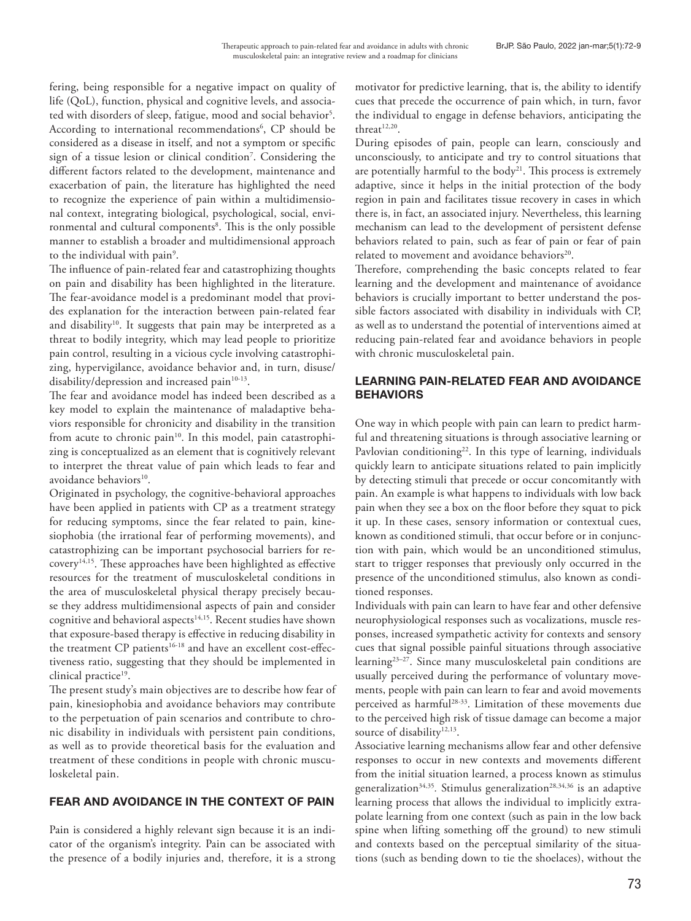fering, being responsible for a negative impact on quality of life (QoL), function, physical and cognitive levels, and associated with disorders of sleep, fatigue, mood and social behavior<sup>5</sup>. According to international recommendations<sup>6</sup>, CP should be considered as a disease in itself, and not a symptom or specific sign of a tissue lesion or clinical condition7 . Considering the different factors related to the development, maintenance and exacerbation of pain, the literature has highlighted the need to recognize the experience of pain within a multidimensional context, integrating biological, psychological, social, environmental and cultural components<sup>8</sup>. This is the only possible manner to establish a broader and multidimensional approach to the individual with pain<sup>9</sup>.

The influence of pain-related fear and catastrophizing thoughts on pain and disability has been highlighted in the literature. The fear-avoidance model is a predominant model that provides explanation for the interaction between pain-related fear and disability<sup>10</sup>. It suggests that pain may be interpreted as a threat to bodily integrity, which may lead people to prioritize pain control, resulting in a vicious cycle involving catastrophizing, hypervigilance, avoidance behavior and, in turn, disuse/ disability/depression and increased pain<sup>10-13</sup>.

The fear and avoidance model has indeed been described as a key model to explain the maintenance of maladaptive behaviors responsible for chronicity and disability in the transition from acute to chronic pain<sup>10</sup>. In this model, pain catastrophizing is conceptualized as an element that is cognitively relevant to interpret the threat value of pain which leads to fear and avoidance behaviors<sup>10</sup>.

Originated in psychology, the cognitive-behavioral approaches have been applied in patients with CP as a treatment strategy for reducing symptoms, since the fear related to pain, kinesiophobia (the irrational fear of performing movements), and catastrophizing can be important psychosocial barriers for recovery14,15. These approaches have been highlighted as effective resources for the treatment of musculoskeletal conditions in the area of musculoskeletal physical therapy precisely because they address multidimensional aspects of pain and consider cognitive and behavioral aspects<sup>14,15</sup>. Recent studies have shown that exposure-based therapy is effective in reducing disability in the treatment CP patients<sup>16-18</sup> and have an excellent cost-effectiveness ratio, suggesting that they should be implemented in clinical practice<sup>19</sup>.

The present study's main objectives are to describe how fear of pain, kinesiophobia and avoidance behaviors may contribute to the perpetuation of pain scenarios and contribute to chronic disability in individuals with persistent pain conditions, as well as to provide theoretical basis for the evaluation and treatment of these conditions in people with chronic musculoskeletal pain.

## FEAR AND AVOIDANCE IN THE CONTEXT OF PAIN

Pain is considered a highly relevant sign because it is an indicator of the organism's integrity. Pain can be associated with the presence of a bodily injuries and, therefore, it is a strong motivator for predictive learning, that is, the ability to identify cues that precede the occurrence of pain which, in turn, favor the individual to engage in defense behaviors, anticipating the threat $12,20$ .

During episodes of pain, people can learn, consciously and unconsciously, to anticipate and try to control situations that are potentially harmful to the body<sup>21</sup>. This process is extremely adaptive, since it helps in the initial protection of the body region in pain and facilitates tissue recovery in cases in which there is, in fact, an associated injury. Nevertheless, this learning mechanism can lead to the development of persistent defense behaviors related to pain, such as fear of pain or fear of pain related to movement and avoidance behaviors<sup>20</sup>.

Therefore, comprehending the basic concepts related to fear learning and the development and maintenance of avoidance behaviors is crucially important to better understand the possible factors associated with disability in individuals with CP, as well as to understand the potential of interventions aimed at reducing pain-related fear and avoidance behaviors in people with chronic musculoskeletal pain.

## LEARNING PAIN-RELATED FEAR AND AVOIDANCE BEHAVIORS

One way in which people with pain can learn to predict harmful and threatening situations is through associative learning or Pavlovian conditioning<sup>22</sup>. In this type of learning, individuals quickly learn to anticipate situations related to pain implicitly by detecting stimuli that precede or occur concomitantly with pain. An example is what happens to individuals with low back pain when they see a box on the floor before they squat to pick it up. In these cases, sensory information or contextual cues, known as conditioned stimuli, that occur before or in conjunction with pain, which would be an unconditioned stimulus, start to trigger responses that previously only occurred in the presence of the unconditioned stimulus, also known as conditioned responses.

Individuals with pain can learn to have fear and other defensive neurophysiological responses such as vocalizations, muscle responses, increased sympathetic activity for contexts and sensory cues that signal possible painful situations through associative learning23–27. Since many musculoskeletal pain conditions are usually perceived during the performance of voluntary movements, people with pain can learn to fear and avoid movements perceived as harmful28-33. Limitation of these movements due to the perceived high risk of tissue damage can become a major source of disability<sup>12,13</sup>.

Associative learning mechanisms allow fear and other defensive responses to occur in new contexts and movements different from the initial situation learned, a process known as stimulus generalization<sup>34,35</sup>. Stimulus generalization<sup>28,34,36</sup> is an adaptive learning process that allows the individual to implicitly extrapolate learning from one context (such as pain in the low back spine when lifting something off the ground) to new stimuli and contexts based on the perceptual similarity of the situations (such as bending down to tie the shoelaces), without the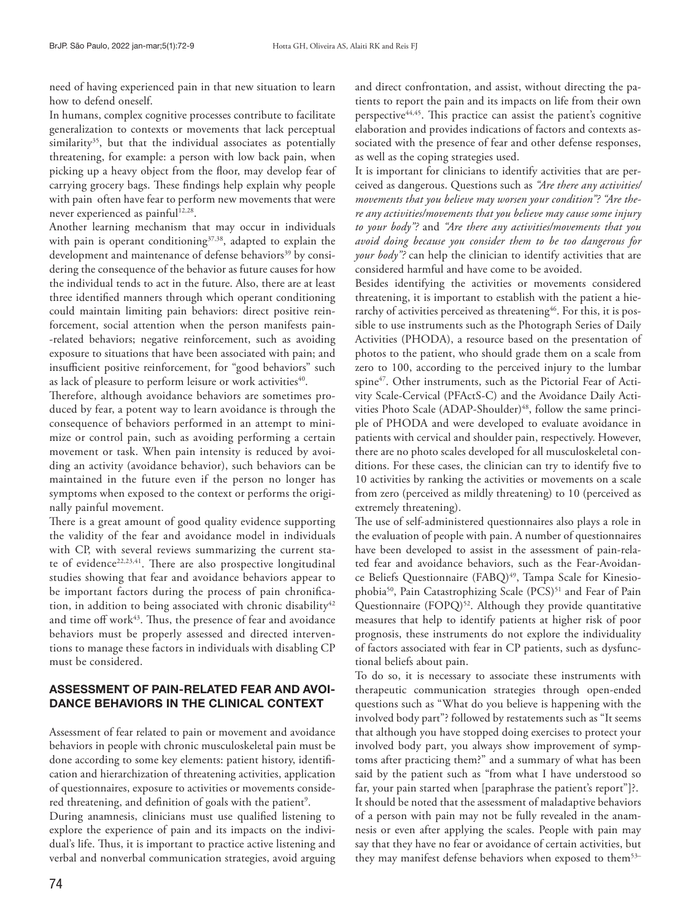need of having experienced pain in that new situation to learn how to defend oneself.

In humans, complex cognitive processes contribute to facilitate generalization to contexts or movements that lack perceptual similarity<sup>35</sup>, but that the individual associates as potentially threatening, for example: a person with low back pain, when picking up a heavy object from the floor, may develop fear of carrying grocery bags. These findings help explain why people with pain often have fear to perform new movements that were never experienced as painful<sup>12,28</sup>.

Another learning mechanism that may occur in individuals with pain is operant conditioning<sup>37,38</sup>, adapted to explain the development and maintenance of defense behaviors<sup>39</sup> by considering the consequence of the behavior as future causes for how the individual tends to act in the future. Also, there are at least three identified manners through which operant conditioning could maintain limiting pain behaviors: direct positive reinforcement, social attention when the person manifests pain- -related behaviors; negative reinforcement, such as avoiding exposure to situations that have been associated with pain; and insufficient positive reinforcement, for "good behaviors" such as lack of pleasure to perform leisure or work activities<sup>40</sup>.

Therefore, although avoidance behaviors are sometimes produced by fear, a potent way to learn avoidance is through the consequence of behaviors performed in an attempt to minimize or control pain, such as avoiding performing a certain movement or task. When pain intensity is reduced by avoiding an activity (avoidance behavior), such behaviors can be maintained in the future even if the person no longer has symptoms when exposed to the context or performs the originally painful movement.

There is a great amount of good quality evidence supporting the validity of the fear and avoidance model in individuals with CP, with several reviews summarizing the current state of evidence<sup>22,23,41</sup>. There are also prospective longitudinal studies showing that fear and avoidance behaviors appear to be important factors during the process of pain chronification, in addition to being associated with chronic disability<sup>42</sup> and time off work<sup>43</sup>. Thus, the presence of fear and avoidance behaviors must be properly assessed and directed interventions to manage these factors in individuals with disabling CP must be considered.

## ASSESSMENT OF PAIN-RELATED FEAR AND AVOI-DANCE BEHAVIORS IN THE CLINICAL CONTEXT

Assessment of fear related to pain or movement and avoidance behaviors in people with chronic musculoskeletal pain must be done according to some key elements: patient history, identification and hierarchization of threatening activities, application of questionnaires, exposure to activities or movements considered threatening, and definition of goals with the patient<sup>9</sup>.

During anamnesis, clinicians must use qualified listening to explore the experience of pain and its impacts on the individual's life. Thus, it is important to practice active listening and verbal and nonverbal communication strategies, avoid arguing and direct confrontation, and assist, without directing the patients to report the pain and its impacts on life from their own perspective<sup>44,45</sup>. This practice can assist the patient's cognitive elaboration and provides indications of factors and contexts associated with the presence of fear and other defense responses, as well as the coping strategies used.

It is important for clinicians to identify activities that are perceived as dangerous. Questions such as *"Are there any activities/ movements that you believe may worsen your condition"? "Are there any activities/movements that you believe may cause some injury to your body"?* and *"Are there any activities/movements that you avoid doing because you consider them to be too dangerous for your body"?* can help the clinician to identify activities that are considered harmful and have come to be avoided.

Besides identifying the activities or movements considered threatening, it is important to establish with the patient a hierarchy of activities perceived as threatening<sup>46</sup>. For this, it is possible to use instruments such as the Photograph Series of Daily Activities (PHODA), a resource based on the presentation of photos to the patient, who should grade them on a scale from zero to 100, according to the perceived injury to the lumbar spine<sup>47</sup>. Other instruments, such as the Pictorial Fear of Activity Scale-Cervical (PFActS-C) and the Avoidance Daily Activities Photo Scale (ADAP-Shoulder)<sup>48</sup>, follow the same principle of PHODA and were developed to evaluate avoidance in patients with cervical and shoulder pain, respectively. However, there are no photo scales developed for all musculoskeletal conditions. For these cases, the clinician can try to identify five to 10 activities by ranking the activities or movements on a scale from zero (perceived as mildly threatening) to 10 (perceived as extremely threatening).

The use of self-administered questionnaires also plays a role in the evaluation of people with pain. A number of questionnaires have been developed to assist in the assessment of pain-related fear and avoidance behaviors, such as the Fear-Avoidance Beliefs Questionnaire (FABQ)<sup>49</sup>, Tampa Scale for Kinesiophobia<sup>50</sup>, Pain Catastrophizing Scale (PCS)<sup>51</sup> and Fear of Pain Questionnaire (FOPQ)<sup>52</sup>. Although they provide quantitative measures that help to identify patients at higher risk of poor prognosis, these instruments do not explore the individuality of factors associated with fear in CP patients, such as dysfunctional beliefs about pain.

To do so, it is necessary to associate these instruments with therapeutic communication strategies through open-ended questions such as "What do you believe is happening with the involved body part"? followed by restatements such as "It seems that although you have stopped doing exercises to protect your involved body part, you always show improvement of symptoms after practicing them?" and a summary of what has been said by the patient such as "from what I have understood so far, your pain started when [paraphrase the patient's report"]?. It should be noted that the assessment of maladaptive behaviors of a person with pain may not be fully revealed in the anamnesis or even after applying the scales. People with pain may say that they have no fear or avoidance of certain activities, but they may manifest defense behaviors when exposed to them<sup>53–</sup>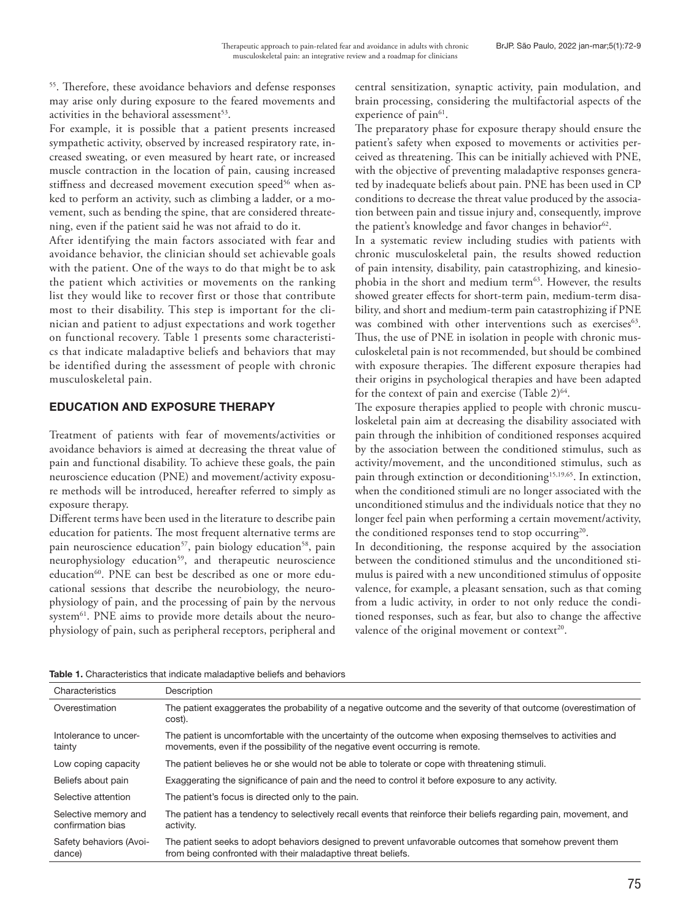55. Therefore, these avoidance behaviors and defense responses may arise only during exposure to the feared movements and activities in the behavioral assessment<sup>53</sup>.

For example, it is possible that a patient presents increased sympathetic activity, observed by increased respiratory rate, increased sweating, or even measured by heart rate, or increased muscle contraction in the location of pain, causing increased stiffness and decreased movement execution speed<sup>56</sup> when asked to perform an activity, such as climbing a ladder, or a movement, such as bending the spine, that are considered threatening, even if the patient said he was not afraid to do it.

After identifying the main factors associated with fear and avoidance behavior, the clinician should set achievable goals with the patient. One of the ways to do that might be to ask the patient which activities or movements on the ranking list they would like to recover first or those that contribute most to their disability. This step is important for the clinician and patient to adjust expectations and work together on functional recovery. Table 1 presents some characteristics that indicate maladaptive beliefs and behaviors that may be identified during the assessment of people with chronic musculoskeletal pain.

## EDUCATION AND EXPOSURE THERAPY

Treatment of patients with fear of movements/activities or avoidance behaviors is aimed at decreasing the threat value of pain and functional disability. To achieve these goals, the pain neuroscience education (PNE) and movement/activity exposure methods will be introduced, hereafter referred to simply as exposure therapy.

Different terms have been used in the literature to describe pain education for patients. The most frequent alternative terms are pain neuroscience education<sup>57</sup>, pain biology education<sup>58</sup>, pain neurophysiology education<sup>59</sup>, and therapeutic neuroscience education<sup>60</sup>. PNE can best be described as one or more educational sessions that describe the neurobiology, the neurophysiology of pain, and the processing of pain by the nervous system<sup>61</sup>. PNE aims to provide more details about the neurophysiology of pain, such as peripheral receptors, peripheral and

central sensitization, synaptic activity, pain modulation, and brain processing, considering the multifactorial aspects of the experience of pain<sup>61</sup>.

The preparatory phase for exposure therapy should ensure the patient's safety when exposed to movements or activities perceived as threatening. This can be initially achieved with PNE, with the objective of preventing maladaptive responses generated by inadequate beliefs about pain. PNE has been used in CP conditions to decrease the threat value produced by the association between pain and tissue injury and, consequently, improve the patient's knowledge and favor changes in behavior<sup>62</sup>.

In a systematic review including studies with patients with chronic musculoskeletal pain, the results showed reduction of pain intensity, disability, pain catastrophizing, and kinesiophobia in the short and medium term<sup>63</sup>. However, the results showed greater effects for short-term pain, medium-term disability, and short and medium-term pain catastrophizing if PNE was combined with other interventions such as exercises<sup>63</sup>. Thus, the use of PNE in isolation in people with chronic musculoskeletal pain is not recommended, but should be combined with exposure therapies. The different exposure therapies had their origins in psychological therapies and have been adapted for the context of pain and exercise (Table 2) $64$ .

The exposure therapies applied to people with chronic musculoskeletal pain aim at decreasing the disability associated with pain through the inhibition of conditioned responses acquired by the association between the conditioned stimulus, such as activity/movement, and the unconditioned stimulus, such as pain through extinction or deconditioning<sup>15,19,65</sup>. In extinction, when the conditioned stimuli are no longer associated with the unconditioned stimulus and the individuals notice that they no longer feel pain when performing a certain movement/activity, the conditioned responses tend to stop occurring<sup>20</sup>.

In deconditioning, the response acquired by the association between the conditioned stimulus and the unconditioned stimulus is paired with a new unconditioned stimulus of opposite valence, for example, a pleasant sensation, such as that coming from a ludic activity, in order to not only reduce the conditioned responses, such as fear, but also to change the affective valence of the original movement or context<sup>20</sup>.

| Characteristics                           | Description                                                                                                                                                                                  |
|-------------------------------------------|----------------------------------------------------------------------------------------------------------------------------------------------------------------------------------------------|
| Overestimation                            | The patient exaggerates the probability of a negative outcome and the severity of that outcome (overestimation of<br>cost).                                                                  |
| Intolerance to uncer-<br>tainty           | The patient is uncomfortable with the uncertainty of the outcome when exposing themselves to activities and<br>movements, even if the possibility of the negative event occurring is remote. |
| Low coping capacity                       | The patient believes he or she would not be able to tolerate or cope with threatening stimuli.                                                                                               |
| Beliefs about pain                        | Exaggerating the significance of pain and the need to control it before exposure to any activity.                                                                                            |
| Selective attention                       | The patient's focus is directed only to the pain.                                                                                                                                            |
| Selective memory and<br>confirmation bias | The patient has a tendency to selectively recall events that reinforce their beliefs regarding pain, movement, and<br>activity.                                                              |
| Safety behaviors (Avoi-<br>dance)         | The patient seeks to adopt behaviors designed to prevent unfavorable outcomes that somehow prevent them<br>from being confronted with their maladaptive threat beliefs.                      |
|                                           |                                                                                                                                                                                              |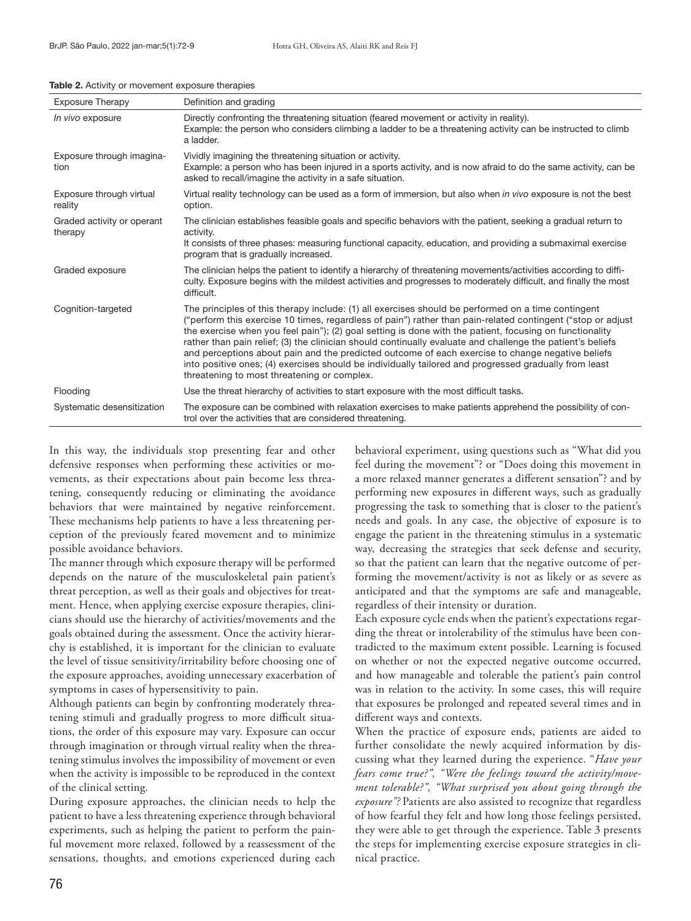| <b>Exposure Therapy</b>               | Definition and grading                                                                                                                                                                                                                                                                                                                                                                                                                                                                                                                                                                                                                                                                                 |
|---------------------------------------|--------------------------------------------------------------------------------------------------------------------------------------------------------------------------------------------------------------------------------------------------------------------------------------------------------------------------------------------------------------------------------------------------------------------------------------------------------------------------------------------------------------------------------------------------------------------------------------------------------------------------------------------------------------------------------------------------------|
| In vivo exposure                      | Directly confronting the threatening situation (feared movement or activity in reality).<br>Example: the person who considers climbing a ladder to be a threatening activity can be instructed to climb<br>a ladder.                                                                                                                                                                                                                                                                                                                                                                                                                                                                                   |
| Exposure through imagina-<br>tion     | Vividly imagining the threatening situation or activity.<br>Example: a person who has been injured in a sports activity, and is now afraid to do the same activity, can be<br>asked to recall/imagine the activity in a safe situation.                                                                                                                                                                                                                                                                                                                                                                                                                                                                |
| Exposure through virtual<br>reality   | Virtual reality technology can be used as a form of immersion, but also when in vivo exposure is not the best<br>option.                                                                                                                                                                                                                                                                                                                                                                                                                                                                                                                                                                               |
| Graded activity or operant<br>therapy | The clinician establishes feasible goals and specific behaviors with the patient, seeking a gradual return to<br>activity.<br>It consists of three phases: measuring functional capacity, education, and providing a submaximal exercise<br>program that is gradually increased.                                                                                                                                                                                                                                                                                                                                                                                                                       |
| Graded exposure                       | The clinician helps the patient to identify a hierarchy of threatening movements/activities according to diffi-<br>culty. Exposure begins with the mildest activities and progresses to moderately difficult, and finally the most<br>difficult.                                                                                                                                                                                                                                                                                                                                                                                                                                                       |
| Cognition-targeted                    | The principles of this therapy include: (1) all exercises should be performed on a time contingent<br>("perform this exercise 10 times, regardless of pain") rather than pain-related contingent ("stop or adjust<br>the exercise when you feel pain"); (2) goal setting is done with the patient, focusing on functionality<br>rather than pain relief; (3) the clinician should continually evaluate and challenge the patient's beliefs<br>and perceptions about pain and the predicted outcome of each exercise to change negative beliefs<br>into positive ones; (4) exercises should be individually tailored and progressed gradually from least<br>threatening to most threatening or complex. |
| Flooding                              | Use the threat hierarchy of activities to start exposure with the most difficult tasks.                                                                                                                                                                                                                                                                                                                                                                                                                                                                                                                                                                                                                |
| Systematic desensitization            | The exposure can be combined with relaxation exercises to make patients apprehend the possibility of con-<br>trol over the activities that are considered threatening.                                                                                                                                                                                                                                                                                                                                                                                                                                                                                                                                 |

#### Table 2. Activity or movement exposure therapies

In this way, the individuals stop presenting fear and other defensive responses when performing these activities or movements, as their expectations about pain become less threatening, consequently reducing or eliminating the avoidance behaviors that were maintained by negative reinforcement. These mechanisms help patients to have a less threatening perception of the previously feared movement and to minimize possible avoidance behaviors.

The manner through which exposure therapy will be performed depends on the nature of the musculoskeletal pain patient's threat perception, as well as their goals and objectives for treatment. Hence, when applying exercise exposure therapies, clinicians should use the hierarchy of activities/movements and the goals obtained during the assessment. Once the activity hierarchy is established, it is important for the clinician to evaluate the level of tissue sensitivity/irritability before choosing one of the exposure approaches, avoiding unnecessary exacerbation of symptoms in cases of hypersensitivity to pain.

Although patients can begin by confronting moderately threatening stimuli and gradually progress to more difficult situations, the order of this exposure may vary. Exposure can occur through imagination or through virtual reality when the threatening stimulus involves the impossibility of movement or even when the activity is impossible to be reproduced in the context of the clinical setting.

During exposure approaches, the clinician needs to help the patient to have a less threatening experience through behavioral experiments, such as helping the patient to perform the painful movement more relaxed, followed by a reassessment of the sensations, thoughts, and emotions experienced during each

behavioral experiment, using questions such as "What did you feel during the movement"? or "Does doing this movement in a more relaxed manner generates a different sensation"? and by performing new exposures in different ways, such as gradually progressing the task to something that is closer to the patient's needs and goals. In any case, the objective of exposure is to engage the patient in the threatening stimulus in a systematic way, decreasing the strategies that seek defense and security, so that the patient can learn that the negative outcome of performing the movement/activity is not as likely or as severe as anticipated and that the symptoms are safe and manageable, regardless of their intensity or duration.

Each exposure cycle ends when the patient's expectations regarding the threat or intolerability of the stimulus have been contradicted to the maximum extent possible. Learning is focused on whether or not the expected negative outcome occurred, and how manageable and tolerable the patient's pain control was in relation to the activity. In some cases, this will require that exposures be prolonged and repeated several times and in different ways and contexts.

When the practice of exposure ends, patients are aided to further consolidate the newly acquired information by discussing what they learned during the experience. "*Have your fears come true?", "Were the feelings toward the activity/movement tolerable?", "What surprised you about going through the exposure"?* Patients are also assisted to recognize that regardless of how fearful they felt and how long those feelings persisted, they were able to get through the experience. Table 3 presents the steps for implementing exercise exposure strategies in clinical practice.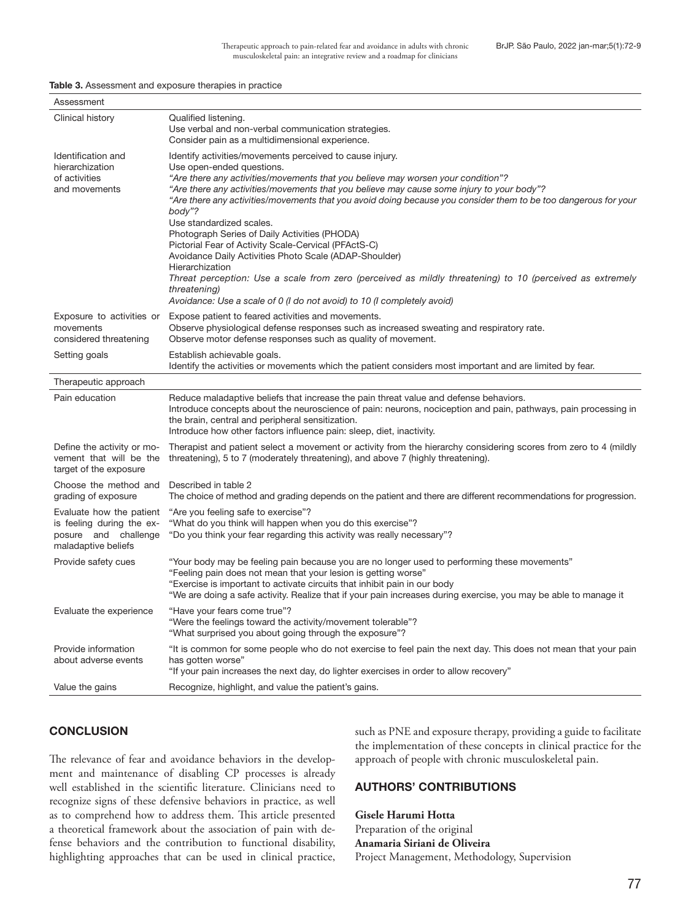#### Table 3. Assessment and exposure therapies in practice

| Qualified listening.<br>Clinical history<br>Use verbal and non-verbal communication strategies.<br>Consider pain as a multidimensional experience.<br>Identification and<br>Identify activities/movements perceived to cause injury.<br>hierarchization<br>Use open-ended questions.<br>of activities<br>"Are there any activities/movements that you believe may worsen your condition"?<br>and movements<br>"Are there any activities/movements that you believe may cause some injury to your body"?<br>"Are there any activities/movements that you avoid doing because you consider them to be too dangerous for your<br>body"?<br>Use standardized scales.<br>Photograph Series of Daily Activities (PHODA)<br>Pictorial Fear of Activity Scale-Cervical (PFActS-C)<br>Avoidance Daily Activities Photo Scale (ADAP-Shoulder)<br>Hierarchization<br>Threat perception: Use a scale from zero (perceived as mildly threatening) to 10 (perceived as extremely<br>threatening)<br>Avoidance: Use a scale of 0 (I do not avoid) to 10 (I completely avoid)<br>Exposure to activities or<br>Expose patient to feared activities and movements.<br>movements<br>Observe physiological defense responses such as increased sweating and respiratory rate.<br>considered threatening<br>Observe motor defense responses such as quality of movement.<br>Setting goals<br>Establish achievable goals.<br>Identify the activities or movements which the patient considers most important and are limited by fear.<br>Therapeutic approach<br>Pain education<br>Reduce maladaptive beliefs that increase the pain threat value and defense behaviors.<br>Introduce concepts about the neuroscience of pain: neurons, nociception and pain, pathways, pain processing in<br>the brain, central and peripheral sensitization.<br>Introduce how other factors influence pain: sleep, diet, inactivity.<br>Define the activity or mo-<br>Therapist and patient select a movement or activity from the hierarchy considering scores from zero to 4 (mildly<br>vement that will be the<br>threatening), 5 to 7 (moderately threatening), and above 7 (highly threatening).<br>target of the exposure<br>Choose the method and<br>Described in table 2<br>grading of exposure<br>The choice of method and grading depends on the patient and there are different recommendations for progression.<br>Evaluate how the patient<br>"Are you feeling safe to exercise"?<br>"What do you think will happen when you do this exercise"?<br>is feeling during the ex-<br>posure and challenge<br>"Do you think your fear regarding this activity was really necessary"?<br>maladaptive beliefs<br>"Your body may be feeling pain because you are no longer used to performing these movements"<br>Provide safety cues<br>"Feeling pain does not mean that your lesion is getting worse"<br>"Exercise is important to activate circuits that inhibit pain in our body<br>"We are doing a safe activity. Realize that if your pain increases during exercise, you may be able to manage it<br>"Have your fears come true"?<br>Evaluate the experience<br>"Were the feelings toward the activity/movement tolerable"?<br>"What surprised you about going through the exposure"? | Assessment |  |
|--------------------------------------------------------------------------------------------------------------------------------------------------------------------------------------------------------------------------------------------------------------------------------------------------------------------------------------------------------------------------------------------------------------------------------------------------------------------------------------------------------------------------------------------------------------------------------------------------------------------------------------------------------------------------------------------------------------------------------------------------------------------------------------------------------------------------------------------------------------------------------------------------------------------------------------------------------------------------------------------------------------------------------------------------------------------------------------------------------------------------------------------------------------------------------------------------------------------------------------------------------------------------------------------------------------------------------------------------------------------------------------------------------------------------------------------------------------------------------------------------------------------------------------------------------------------------------------------------------------------------------------------------------------------------------------------------------------------------------------------------------------------------------------------------------------------------------------------------------------------------------------------------------------------------------------------------------------------------------------------------------------------------------------------------------------------------------------------------------------------------------------------------------------------------------------------------------------------------------------------------------------------------------------------------------------------------------------------------------------------------------------------------------------------------------------------------------------------------------------------------------------------------------------------------------------------------------------------------------------------------------------------------------------------------------------------------------------------------------------------------------------------------------------------------------------------------------------------------------------------------------------------------------------------------------------------------------------------------------------------------------------------------------------------------------------------------------------------------------------------------------------------------------------------------------------------------------------------------------------------------------------|------------|--|
|                                                                                                                                                                                                                                                                                                                                                                                                                                                                                                                                                                                                                                                                                                                                                                                                                                                                                                                                                                                                                                                                                                                                                                                                                                                                                                                                                                                                                                                                                                                                                                                                                                                                                                                                                                                                                                                                                                                                                                                                                                                                                                                                                                                                                                                                                                                                                                                                                                                                                                                                                                                                                                                                                                                                                                                                                                                                                                                                                                                                                                                                                                                                                                                                                                                              |            |  |
|                                                                                                                                                                                                                                                                                                                                                                                                                                                                                                                                                                                                                                                                                                                                                                                                                                                                                                                                                                                                                                                                                                                                                                                                                                                                                                                                                                                                                                                                                                                                                                                                                                                                                                                                                                                                                                                                                                                                                                                                                                                                                                                                                                                                                                                                                                                                                                                                                                                                                                                                                                                                                                                                                                                                                                                                                                                                                                                                                                                                                                                                                                                                                                                                                                                              |            |  |
|                                                                                                                                                                                                                                                                                                                                                                                                                                                                                                                                                                                                                                                                                                                                                                                                                                                                                                                                                                                                                                                                                                                                                                                                                                                                                                                                                                                                                                                                                                                                                                                                                                                                                                                                                                                                                                                                                                                                                                                                                                                                                                                                                                                                                                                                                                                                                                                                                                                                                                                                                                                                                                                                                                                                                                                                                                                                                                                                                                                                                                                                                                                                                                                                                                                              |            |  |
|                                                                                                                                                                                                                                                                                                                                                                                                                                                                                                                                                                                                                                                                                                                                                                                                                                                                                                                                                                                                                                                                                                                                                                                                                                                                                                                                                                                                                                                                                                                                                                                                                                                                                                                                                                                                                                                                                                                                                                                                                                                                                                                                                                                                                                                                                                                                                                                                                                                                                                                                                                                                                                                                                                                                                                                                                                                                                                                                                                                                                                                                                                                                                                                                                                                              |            |  |
|                                                                                                                                                                                                                                                                                                                                                                                                                                                                                                                                                                                                                                                                                                                                                                                                                                                                                                                                                                                                                                                                                                                                                                                                                                                                                                                                                                                                                                                                                                                                                                                                                                                                                                                                                                                                                                                                                                                                                                                                                                                                                                                                                                                                                                                                                                                                                                                                                                                                                                                                                                                                                                                                                                                                                                                                                                                                                                                                                                                                                                                                                                                                                                                                                                                              |            |  |
|                                                                                                                                                                                                                                                                                                                                                                                                                                                                                                                                                                                                                                                                                                                                                                                                                                                                                                                                                                                                                                                                                                                                                                                                                                                                                                                                                                                                                                                                                                                                                                                                                                                                                                                                                                                                                                                                                                                                                                                                                                                                                                                                                                                                                                                                                                                                                                                                                                                                                                                                                                                                                                                                                                                                                                                                                                                                                                                                                                                                                                                                                                                                                                                                                                                              |            |  |
|                                                                                                                                                                                                                                                                                                                                                                                                                                                                                                                                                                                                                                                                                                                                                                                                                                                                                                                                                                                                                                                                                                                                                                                                                                                                                                                                                                                                                                                                                                                                                                                                                                                                                                                                                                                                                                                                                                                                                                                                                                                                                                                                                                                                                                                                                                                                                                                                                                                                                                                                                                                                                                                                                                                                                                                                                                                                                                                                                                                                                                                                                                                                                                                                                                                              |            |  |
|                                                                                                                                                                                                                                                                                                                                                                                                                                                                                                                                                                                                                                                                                                                                                                                                                                                                                                                                                                                                                                                                                                                                                                                                                                                                                                                                                                                                                                                                                                                                                                                                                                                                                                                                                                                                                                                                                                                                                                                                                                                                                                                                                                                                                                                                                                                                                                                                                                                                                                                                                                                                                                                                                                                                                                                                                                                                                                                                                                                                                                                                                                                                                                                                                                                              |            |  |
|                                                                                                                                                                                                                                                                                                                                                                                                                                                                                                                                                                                                                                                                                                                                                                                                                                                                                                                                                                                                                                                                                                                                                                                                                                                                                                                                                                                                                                                                                                                                                                                                                                                                                                                                                                                                                                                                                                                                                                                                                                                                                                                                                                                                                                                                                                                                                                                                                                                                                                                                                                                                                                                                                                                                                                                                                                                                                                                                                                                                                                                                                                                                                                                                                                                              |            |  |
|                                                                                                                                                                                                                                                                                                                                                                                                                                                                                                                                                                                                                                                                                                                                                                                                                                                                                                                                                                                                                                                                                                                                                                                                                                                                                                                                                                                                                                                                                                                                                                                                                                                                                                                                                                                                                                                                                                                                                                                                                                                                                                                                                                                                                                                                                                                                                                                                                                                                                                                                                                                                                                                                                                                                                                                                                                                                                                                                                                                                                                                                                                                                                                                                                                                              |            |  |
|                                                                                                                                                                                                                                                                                                                                                                                                                                                                                                                                                                                                                                                                                                                                                                                                                                                                                                                                                                                                                                                                                                                                                                                                                                                                                                                                                                                                                                                                                                                                                                                                                                                                                                                                                                                                                                                                                                                                                                                                                                                                                                                                                                                                                                                                                                                                                                                                                                                                                                                                                                                                                                                                                                                                                                                                                                                                                                                                                                                                                                                                                                                                                                                                                                                              |            |  |
| Provide information<br>"It is common for some people who do not exercise to feel pain the next day. This does not mean that your pain<br>has gotten worse"<br>about adverse events<br>"If your pain increases the next day, do lighter exercises in order to allow recovery"                                                                                                                                                                                                                                                                                                                                                                                                                                                                                                                                                                                                                                                                                                                                                                                                                                                                                                                                                                                                                                                                                                                                                                                                                                                                                                                                                                                                                                                                                                                                                                                                                                                                                                                                                                                                                                                                                                                                                                                                                                                                                                                                                                                                                                                                                                                                                                                                                                                                                                                                                                                                                                                                                                                                                                                                                                                                                                                                                                                 |            |  |
| Value the gains<br>Recognize, highlight, and value the patient's gains.                                                                                                                                                                                                                                                                                                                                                                                                                                                                                                                                                                                                                                                                                                                                                                                                                                                                                                                                                                                                                                                                                                                                                                                                                                                                                                                                                                                                                                                                                                                                                                                                                                                                                                                                                                                                                                                                                                                                                                                                                                                                                                                                                                                                                                                                                                                                                                                                                                                                                                                                                                                                                                                                                                                                                                                                                                                                                                                                                                                                                                                                                                                                                                                      |            |  |

## **CONCLUSION**

The relevance of fear and avoidance behaviors in the development and maintenance of disabling CP processes is already well established in the scientific literature. Clinicians need to recognize signs of these defensive behaviors in practice, as well as to comprehend how to address them. This article presented a theoretical framework about the association of pain with defense behaviors and the contribution to functional disability, highlighting approaches that can be used in clinical practice, such as PNE and exposure therapy, providing a guide to facilitate the implementation of these concepts in clinical practice for the approach of people with chronic musculoskeletal pain.

## AUTHORS' CONTRIBUTIONS

### **Gisele Harumi Hotta**

Preparation of the original **Anamaria Siriani de Oliveira**  Project Management, Methodology, Supervision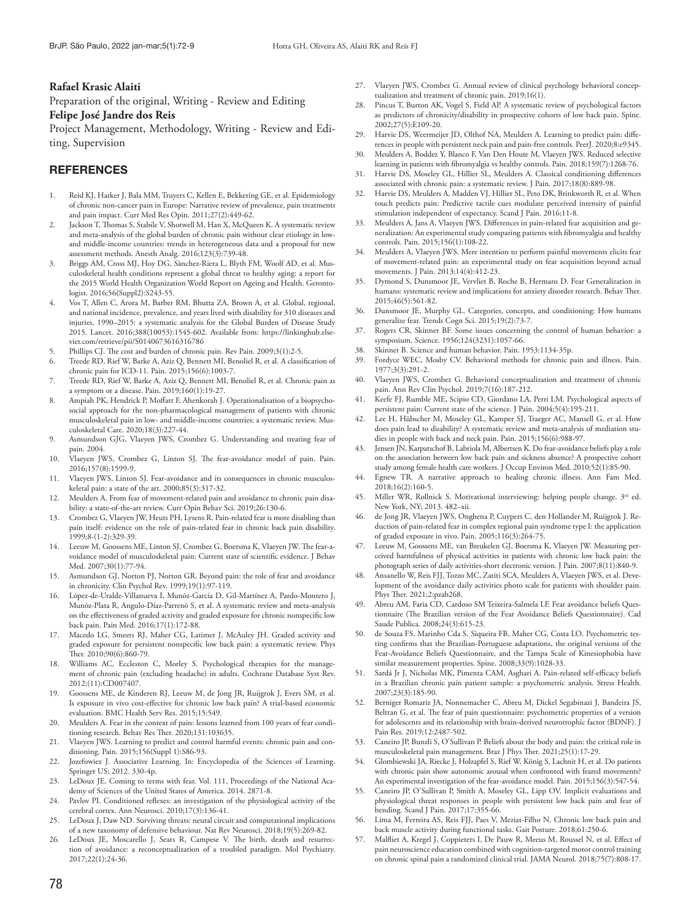### **Rafael Krasic Alaiti**

Preparation of the original, Writing - Review and Editing **Felipe José Jandre dos Reis** 

Project Management, Methodology, Writing - Review and Editing, Supervision

### **REFERENCES**

- Reid KJ, Harker J, Bala MM, Truyers C, Kellen E, Bekkering GE, et al. Epidemiology of chronic non-cancer pain in Europe: Narrative review of prevalence, pain treatments and pain impact. Curr Med Res Opin. 2011;27(2):449-62.
- 2. Jackson T, Thomas S, Stabile V, Shotwell M, Han X, McQueen K. A systematic review and meta-analysis of the global burden of chronic pain without clear etiology in lowand middle-income countries: trends in heterogeneous data and a proposal for new assessment methods. Anesth Analg. 2016;123(3):739-48.
- Briggs AM, Cross MJ, Hoy DG, Sànchez-Riera L, Blyth FM, Woolf AD, et al. Musculoskeletal health conditions represent a global threat to healthy aging: a report for the 2015 World Health Organization World Report on Ageing and Health. Gerontologist. 2016;56(Suppl2):S243-55.
- 4. Vos T, Allen C, Arora M, Barber RM, Bhutta ZA, Brown A, et al. Global, regional, and national incidence, prevalence, and years lived with disability for 310 diseases and injuries, 1990–2015: a systematic analysis for the Global Burden of Disease Study 2015. Lancet. 2016;388(10053):1545-602. Available from: https://linkinghub.elsevier.com/retrieve/pii/S0140673616316786
- 5. Phillips CJ. The cost and burden of chronic pain. Rev Pain. 2009;3(1):2-5.<br>6. Treede RD. Rief W. Barke A. Aziz O. Bennert MI. Benoliel R. et al. A classi
- 6. Treede RD, Rief W, Barke A, Aziz Q, Bennett MI, Benoliel R, et al. A classification of chronic pain for ICD-11. Pain. 2015;156(6):1003-7.
- 7. Treede RD, Rief W, Barke A, Aziz Q, Bennett MI, Benoliel R, et al. Chronic pain as a symptom or a disease. Pain. 2019;160(1):19-27.
- 8. Ampiah PK, Hendrick P, Moffatt F, Ahenkorah J. Operationalisation of a biopsychosocial approach for the non-pharmacological management of patients with chronic musculoskeletal pain in low- and middle-income countries: a systematic review. Musculoskeletal Care. 2020;18(3):227-44.
- 9. Asmundson GJG, Vlaeyen JWS, Crombez G. Understanding and treating fear of pain. 2004.
- 10. Vlaeyen JWS, Crombez G, Linton SJ. The fear-avoidance model of pain. Pain. 2016;157(8):1599-9.
- 11. Vlaeyen JWS, Linton SJ. Fear-avoidance and its consequences in chronic musculoskeletal pain: a state of the art. 2000;85(3):317-32.
- 12. Meulders A. From fear of movement-related pain and avoidance to chronic pain disability: a state-of-the-art review. Curr Opin Behav Sci. 2019;26:130-6.
- 13. Crombez G, Vlaeyen JW, Heuts PH, Lysens R. Pain-related fear is more disabling than pain itself: evidence on the role of pain-related fear in chronic back pain disability. 1999;8-(1-2):329-39.
- 14. Leeuw M, Goossens ME, Linton SJ, Crombez G, Boersma K, Vlaeyen JW. The fear-avoidance model of musculoskeletal pain: Current state of scientific evidence. J Behav Med. 2007;30(1):77-94.
- 15. Asmundson GJ, Norton PJ, Norton GR. Beyond pain: the role of fear and avoidance in chronicity. Clin Psychol Rev. 1999;19(1):97-119.
- 16. López-de-Uralde-Villanueva I, Munõz-García D, Gil-Martínez A, Pardo-Montero J, Munõz-Plata R, Angulo-Díaz-Parrenõ S, et al. A systematic review and meta-analysis on the effectiveness of graded activity and graded exposure for chronic nonspecific low back pain. Pain Med. 2016;17(1):172-88.
- Macedo LG, Smeets RJ, Maher CG, Latimer J, McAuley JH. Graded activity and graded exposure for persistent nonspecific low back pain: a systematic review. Phys Ther. 2010;90(6):860-79.
- 18. Williams AC, Eccleston C, Morley S. Psychological therapies for the management of chronic pain (excluding headache) in adults. Cochrane Database Syst Rev. 2012;(11):CD007407.
- 19. Goossens ME, de Kinderen RJ, Leeuw M, de Jong JR, Ruijgrok J, Evers SM, et al. Is exposure in vivo cost-effective for chronic low back pain? A trial-based economic evaluation. BMC Health Serv Res. 2015;15:549.
- 20. Meulders A. Fear in the context of pain: lessons learned from 100 years of fear conditioning research. Behav Res Ther. 2020;131:103635.
- 21. Vlaeyen JWS. Learning to predict and control harmful events: chronic pain and conditioning. Pain. 2015;156(Suppl 1):S86-93.
- 22. Jozefowiez J. Associative Learning. In: Encyclopedia of the Sciences of Learning. Springer US; 2012. 330-4p.
- 23. LeDoux JE. Coming to terms with fear. Vol. 111, Proceedings of the National Academy of Sciences of the United States of America. 2014. 2871-8.
- 24. Pavlov PI. Conditioned reflexes: an investigation of the physiological activity of the cerebral cortex. Ann Neurosci. 2010;17(3):136-41.
- 25. LeDoux J, Daw ND. Surviving threats: neural circuit and computational implications of a new taxonomy of defensive behaviour. Nat Rev Neurosci. 2018;19(5):269-82.
- LeDoux JE, Moscarello J, Sears R, Campese V. The birth, death and resurrection of avoidance: a reconceptualization of a troubled paradigm. Mol Psychiatry. 2017;22(1):24-36.
- 27. Vlaeyen JWS, Crombez G. Annual review of clinical psychology behavioral conceptualization and treatment of chronic pain. 2019;16(1).
- 28. Pincus T, Burton AK, Vogel S, Field AP. A systematic review of psychological factors as predictors of chronicity/disability in prospective cohorts of low back pain. Spine. 2002;27(5):E109-20.
- 29. Harvie DS, Weermeijer JD, Olthof NA, Meulders A. Learning to predict pain: differences in people with persistent neck pain and pain-free controls. PeerJ. 2020;8:e9345.
- 30. Meulders A, Boddez Y, Blanco F, Van Den Houte M, Vlaeyen JWS. Reduced selective learning in patients with fibromyalgia vs healthy controls. Pain. 2018;159(7):1268-76.
- 31. Harvie DS, Moseley GL, Hillier SL, Meulders A. Classical conditioning differences associated with chronic pain: a systematic review. J Pain. 2017;18(8):889-98.
- Harvie DS, Meulders A, Madden VJ, Hillier SL, Peto DK, Brinkworth R, et al. When touch predicts pain: Predictive tactile cues modulate perceived intensity of painful stimulation independent of expectancy. Scand J Pain. 2016;11-8.
- 33. Meulders A, Jans A, Vlaeyen JWS. Differences in pain-related fear acquisition and generalization: An experimental study comparing patients with fibromyalgia and healthy controls. Pain. 2015;156(1):108-22.
- 34. Meulders A, Vlaeyen JWS. Mere intention to perform painful movements elicits fear of movement-related pain: an experimental study on fear acquisition beyond actual movements. J Pain. 2013;14(4):412-23.
- 35. Dymond S, Dunsmoor JE, Vervliet B, Roche B, Hermans D. Fear Generalization in humans: systematic review and implications for anxiety disorder research. Behav Ther. 2015;46(5):561-82.
- 36. Dunsmoor JE, Murphy GL. Categories, concepts, and conditioning: How humans generalize fear. Trends Cogn Sci. 2015;19(2):73-7.
- 37. Rogers CR, Skinner BF. Some issues concerning the control of human behavior: a symposium. Science. 1956;124(3231):1057-66.
- 38. Skinner B. Science and human behavior. Pain. 1953:1134-35p.
- 39. Fordyce WEC, Mosby CV. Behavioral methods for chronic pain and illness. Pain. 1977;3(3):291-2.
- 40. Vlaeyen JWS, Crombez G. Behavioral conceptualization and treatment of chronic pain. Ann Rev Clin Psychol. 2019;7(16):187-212.
- 41. Keefe FJ, Rumble ME, Scipio CD, Giordano LA, Perri LM. Psychological aspects of persistent pain: Current state of the science. J Pain. 2004;5(4):195-211.
- 42. Lee H, Hübscher M, Moseley GL, Kamper SJ, Traeger AC, Mansell G, et al. How does pain lead to disability? A systematic review and meta-analysis of mediation studies in people with back and neck pain. Pain. 2015;156(6):988-97.
- Jensen JN, Karpatschof B, Labriola M, Albertsen K. Do fear-avoidance beliefs play a role on the association between low back pain and sickness absence? A prospective cohort study among female health care workers. J Occup Environ Med. 2010;52(1):85-90.
- 44. Egnew TR. A narrative approach to healing chronic illness. Ann Fam Med.  $2018:16(2):160-5.$
- 45. Miller WR, Rollnick S. Motivational interviewing: helping people change. 3<sup>rd</sup> ed. New York, NY; 2013. 482–xii.
- 46. de Jong JR, Vlaeyen JWS, Onghena P, Cuypers C, den Hollander M, Ruijgrok J. Reduction of pain-related fear in complex regional pain syndrome type I: the application of graded exposure in vivo. Pain. 2005;116(3):264-75.
- Leeuw M, Goossens ME, van Breukelen GJ, Boersma K, Vlaeyen JW. Measuring perceived harmfulness of physical activities in patients with chronic low back pain: the photograph series of daily activities-short electronic version. J Pain. 2007;8(11):840-9.
- 48. Ansanello W, Reis FJJ, Tozzo MC, Zatiti SCA, Meulders A, Vlaeyen JWS, et al. Development of the avoidance daily activities photo scale for patients with shoulder pain. Phys Ther. 2021;2:pzab268.
- 49. Abreu AM, Faria CD, Cardoso SM Teixeira-Salmela LF. Fear avoidance beliefs Questionnaire (The Brazilian version of the Fear Avoidance Beliefs Questionnaire). Cad Saude Publica. 2008;24(3):615-23.
- 50. de Souza FS, Marinho Cda S. Siqueira FB, Maher CG, Costa LO. Psychometric testing confirms that the Brazilian-Portuguese adaptations, the original versions of the Fear-Avoidance Beliefs Questionnaire, and the Tampa Scale of Kinesiophobia have similar measurement properties. Spine. 2008;33(9):1028-33.
- 51. Sardá Jr J, Nicholas MK, Pimenta CAM, Asghari A. Pain-related self-efficacy beliefs in a Brazilian chronic pain patient sample: a psychometric analysis. Stress Health. 2007;23(3):185-90.
- 52. Berniger Romariz JA, Nonnemacher C, Abreu M, Dickel Segabinazi J, Bandeira JS, Beltran G, et al. The fear of pain questionnaire: psychometric properties of a version for adolescents and its relationship with brain-derived neurotrophic factor (BDNF). J Pain Res. 2019;12:2487-502.
- 53. Caneiro JP, Bunzli S, O'Sullivan P. Beliefs about the body and pain: the critical role in musculoskeletal pain management. Braz J Phys Ther. 2021;25(1):17-29.
- 54. Glombiewski JA, Riecke J, Holzapfel S, Rief W, König S, Lachnit H, et al. Do patients with chronic pain show autonomic arousal when confronted with feared movements? An experimental investigation of the fear-avoidance model. Pain. 2015;156(3):547-54.
- 55. Caneiro JP, O'Sullivan P, Smith A, Moseley GL, Lipp OV. Implicit evaluations and physiological threat responses in people with persistent low back pain and fear of bending. Scand J Pain. 2017;17:355-66.
- 56. Lima M, Ferreira AS, Reis FJJ, Paes V, Meziat-Filho N. Chronic low back pain and back muscle activity during functional tasks. Gait Posture. 2018;61:250-6.
- Malfliet A, Kregel J, Coppieters I, De Pauw R, Meeus M, Roussel N, et al. Effect of pain neuroscience education combined with cognition-targeted motor control training on chronic spinal pain a randomized clinical trial. JAMA Neurol. 2018;75(7):808-17.